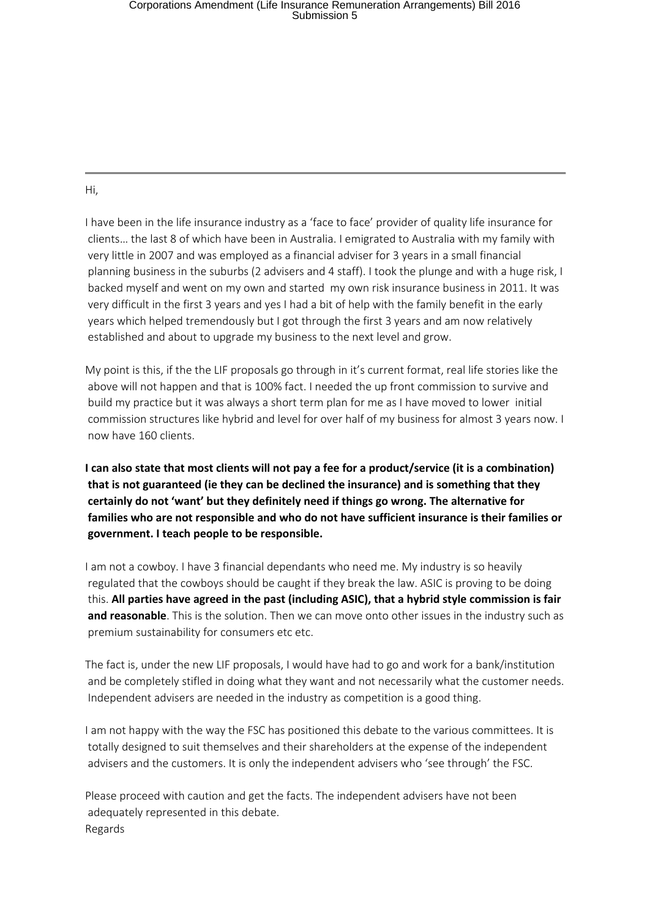## Corporations Amendment (Life Insurance Remuneration Arrangements) Bill 2016<br>Submission 5

Hi,

I have been in the life insurance industry as a 'face to face' provider of quality life insurance for clients… the last 8 of which have been in Australia. I emigrated to Australia with my family with very little in 2007 and was employed as a financial adviser for 3 years in a small financial planning business in the suburbs (2 advisers and 4 staff). I took the plunge and with a huge risk, I backed myself and went on my own and started my own risk insurance business in 2011. It was very difficult in the first 3 years and yes I had a bit of help with the family benefit in the early years which helped tremendously but I got through the first 3 years and am now relatively established and about to upgrade my business to the next level and grow.

My point is this, if the the LIF proposals go through in it's current format, real life stories like the above will not happen and that is 100% fact. I needed the up front commission to survive and build my practice but it was always a short term plan for me as I have moved to lower initial commission structures like hybrid and level for over half of my business for almost 3 years now. I now have 160 clients.

**I can also state that most clients will not pay a fee for a product/service (it is a combination) that is not guaranteed (ie they can be declined the insurance) and is something that they certainly do not 'want' but they definitely need if things go wrong. The alternative for families who are not responsible and who do not have sufficient insurance is their families or government. I teach people to be responsible.**

I am not a cowboy. I have 3 financial dependants who need me. My industry is so heavily regulated that the cowboys should be caught if they break the law. ASIC is proving to be doing this. **All parties have agreed in the past (including ASIC), that a hybrid style commission is fair and reasonable**. This is the solution. Then we can move onto other issues in the industry such as premium sustainability for consumers etc etc.

The fact is, under the new LIF proposals, I would have had to go and work for a bank/institution and be completely stifled in doing what they want and not necessarily what the customer needs. Independent advisers are needed in the industry as competition is a good thing.

I am not happy with the way the FSC has positioned this debate to the various committees. It is totally designed to suit themselves and their shareholders at the expense of the independent advisers and the customers. It is only the independent advisers who 'see through' the FSC.

Please proceed with caution and get the facts. The independent advisers have not been adequately represented in this debate. Regards